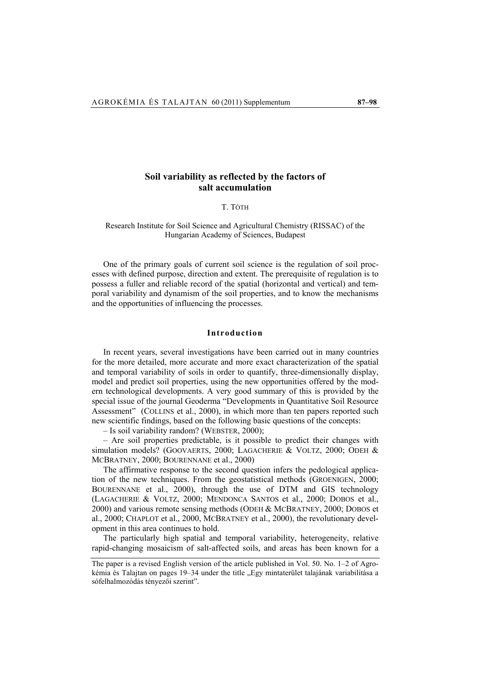# **Soil variability as reflected by the factors of salt accumulation**

#### T. TÓTH

## Research Institute for Soil Science and Agricultural Chemistry (RISSAC) of the Hungarian Academy of Sciences, Budapest

One of the primary goals of current soil science is the regulation of soil processes with defined purpose, direction and extent. The prerequisite of regulation is to possess a fuller and reliable record of the spatial (horizontal and vertical) and temporal variability and dynamism of the soil properties, and to know the mechanisms and the opportunities of influencing the processes.

## **Introduction**

In recent years, several investigations have been carried out in many countries for the more detailed, more accurate and more exact characterization of the spatial and temporal variability of soils in order to quantify, three-dimensionally display, model and predict soil properties, using the new opportunities offered by the modern technological developments. A very good summary of this is provided by the special issue of the journal Geoderma "Developments in Quantitative Soil Resource Assessment" (COLLINS et al., 2000), in which more than ten papers reported such new scientific findings, based on the following basic questions of the concepts:

– Is soil variability random? (WEBSTER, 2000);

– Are soil properties predictable, is it possible to predict their changes with simulation models? (GOOVAERTS, 2000; LAGACHERIE & VOLTZ, 2000; ODEH & MCBRATNEY, 2000; BOURENNANE et al., 2000)

The affirmative response to the second question infers the pedological application of the new techniques. From the geostatistical methods (GROENIGEN, 2000; BOURENNANE et al., 2000), through the use of DTM and GIS technology (LAGACHERIE & VOLTZ, 2000; MENDONCA SANTOS et al., 2000; DOBOS et al., 2000) and various remote sensing methods (ODEH & MCBRATNEY, 2000; DOBOS et al., 2000; CHAPLOT et al., 2000, MCBRATNEY et al., 2000), the revolutionary development in this area continues to hold.

The particularly high spatial and temporal variability, heterogeneity, relative rapid-changing mosaicism of salt-affected soils, and areas has been known for a

The paper is a revised English version of the article published in Vol. 50. No. 1–2 of Agrokémia és Talajtan on pages 19–34 under the title "Egy mintaterület talajának variabilitása a sófelhalmozódás tényezői szerint".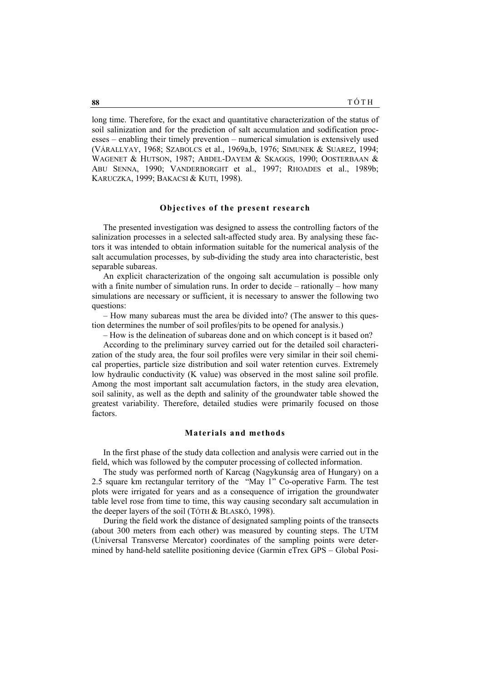long time. Therefore, for the exact and quantitative characterization of the status of soil salinization and for the prediction of salt accumulation and sodification processes – enabling their timely prevention – numerical simulation is extensively used (VÁRALLYAY, 1968; SZABOLCS et al., 1969a,b, 1976; SIMUNEK & SUAREZ, 1994; WAGENET & HUTSON, 1987; ABDEL-DAYEM & SKAGGS, 1990; OOSTERBAAN & ABU SENNA, 1990; VANDERBORGHT et al., 1997; RHOADES et al., 1989b; KARUCZKA, 1999; BAKACSI & KUTI, 1998).

## **Objectives of the present research**

The presented investigation was designed to assess the controlling factors of the salinization processes in a selected salt-affected study area. By analysing these factors it was intended to obtain information suitable for the numerical analysis of the salt accumulation processes, by sub-dividing the study area into characteristic, best separable subareas.

An explicit characterization of the ongoing salt accumulation is possible only with a finite number of simulation runs. In order to decide – rationally – how many simulations are necessary or sufficient, it is necessary to answer the following two questions:

– How many subareas must the area be divided into? (The answer to this question determines the number of soil profiles/pits to be opened for analysis.)

– How is the delineation of subareas done and on which concept is it based on?

According to the preliminary survey carried out for the detailed soil characterization of the study area, the four soil profiles were very similar in their soil chemical properties, particle size distribution and soil water retention curves. Extremely low hydraulic conductivity (K value) was observed in the most saline soil profile. Among the most important salt accumulation factors, in the study area elevation, soil salinity, as well as the depth and salinity of the groundwater table showed the greatest variability. Therefore, detailed studies were primarily focused on those factors.

#### **Materials and methods**

In the first phase of the study data collection and analysis were carried out in the field, which was followed by the computer processing of collected information.

The study was performed north of Karcag (Nagykunság area of Hungary) on a 2.5 square km rectangular territory of the "May 1" Co-operative Farm. The test plots were irrigated for years and as a consequence of irrigation the groundwater table level rose from time to time, this way causing secondary salt accumulation in the deeper layers of the soil (TÓTH & BLASKÓ, 1998).

During the field work the distance of designated sampling points of the transects (about 300 meters from each other) was measured by counting steps. The UTM (Universal Transverse Mercator) coordinates of the sampling points were determined by hand-held satellite positioning device (Garmin eTrex GPS – Global Posi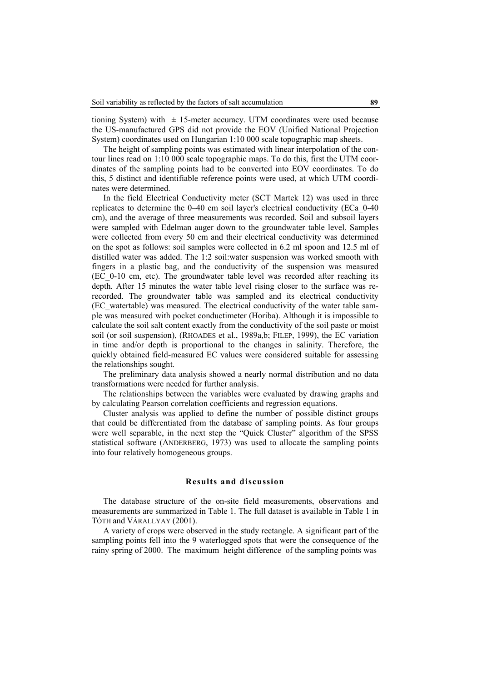tioning System) with  $\pm$  15-meter accuracy. UTM coordinates were used because the US-manufactured GPS did not provide the EOV (Unified National Projection System) coordinates used on Hungarian 1:10 000 scale topographic map sheets.

The height of sampling points was estimated with linear interpolation of the contour lines read on 1:10 000 scale topographic maps. To do this, first the UTM coordinates of the sampling points had to be converted into EOV coordinates. To do this, 5 distinct and identifiable reference points were used, at which UTM coordinates were determined.

In the field Electrical Conductivity meter (SCT Martek 12) was used in three replicates to determine the 0–40 cm soil layer's electrical conductivity (ECa\_0-40 cm), and the average of three measurements was recorded. Soil and subsoil layers were sampled with Edelman auger down to the groundwater table level. Samples were collected from every 50 cm and their electrical conductivity was determined on the spot as follows: soil samples were collected in 6.2 ml spoon and 12.5 ml of distilled water was added. The 1:2 soil:water suspension was worked smooth with fingers in a plastic bag, and the conductivity of the suspension was measured (EC\_0-10 cm, etc). The groundwater table level was recorded after reaching its depth. After 15 minutes the water table level rising closer to the surface was rerecorded. The groundwater table was sampled and its electrical conductivity (EC\_watertable) was measured. The electrical conductivity of the water table sample was measured with pocket conductimeter (Horiba). Although it is impossible to calculate the soil salt content exactly from the conductivity of the soil paste or moist soil (or soil suspension), (RHOADES et al., 1989a,b; FILEP, 1999), the EC variation in time and/or depth is proportional to the changes in salinity. Therefore, the quickly obtained field-measured EC values were considered suitable for assessing the relationships sought.

The preliminary data analysis showed a nearly normal distribution and no data transformations were needed for further analysis.

The relationships between the variables were evaluated by drawing graphs and by calculating Pearson correlation coefficients and regression equations.

Cluster analysis was applied to define the number of possible distinct groups that could be differentiated from the database of sampling points. As four groups were well separable, in the next step the "Quick Cluster" algorithm of the SPSS statistical software (ANDERBERG, 1973) was used to allocate the sampling points into four relatively homogeneous groups.

## **Results and discussion**

The database structure of the on-site field measurements, observations and measurements are summarized in Table 1. The full dataset is available in Table 1 in TÓTH and VÁRALLYAY (2001).

A variety of crops were observed in the study rectangle. A significant part of the sampling points fell into the 9 waterlogged spots that were the consequence of the rainy spring of 2000. The maximum height difference of the sampling points was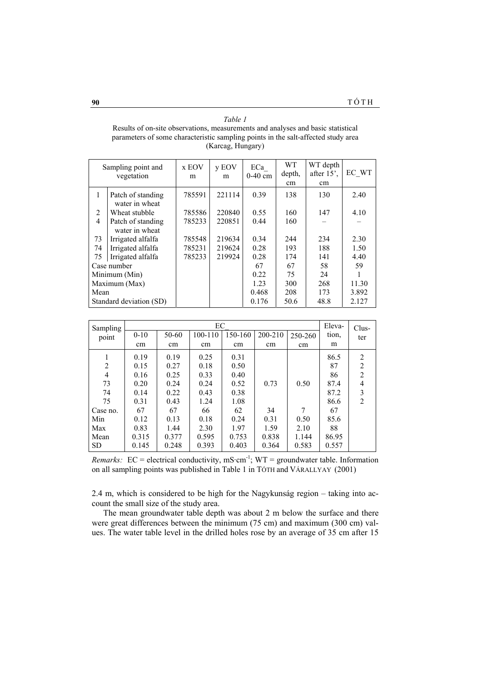| Table 1                                                                           |
|-----------------------------------------------------------------------------------|
| Results of on-site observations, measurements and analyses and basic statistical  |
| parameters of some characteristic sampling points in the salt-affected study area |
| (Karcag, Hungary)                                                                 |

| Sampling point and<br>vegetation |                                     | x EOV<br>m | y EOV<br>m | ECa<br>$0-40$ cm | WT.<br>depth,<br>cm | WT depth<br>after $15^\circ$ .<br>cm | EC WT |
|----------------------------------|-------------------------------------|------------|------------|------------------|---------------------|--------------------------------------|-------|
| 1                                | Patch of standing<br>water in wheat | 785591     | 221114     | 0.39             | 138                 | 130                                  | 2.40  |
| 2                                | Wheat stubble                       | 785586     | 220840     | 0.55             | 160                 | 147                                  | 4.10  |
| $\overline{4}$                   | Patch of standing<br>water in wheat | 785233     | 220851     | 0.44             | 160                 |                                      |       |
| 73                               | Irrigated alfalfa                   | 785548     | 219634     | 0.34             | 244                 | 234                                  | 2.30  |
| 74                               | Irrigated alfalfa                   | 785231     | 219624     | 0.28             | 193                 | 188                                  | 1.50  |
| 75                               | Irrigated alfalfa                   | 785233     | 219924     | 0.28             | 174                 | 141                                  | 4.40  |
| Case number                      |                                     |            |            | 67               | 67                  | 58                                   | 59    |
| Minimum (Min)                    |                                     |            |            | 0.22             | 75                  | 24                                   |       |
| Maximum (Max)                    |                                     |            |            | 1.23             | 300                 | 268                                  | 11.30 |
| Mean                             |                                     |            |            | 0.468            | 208                 | 173                                  | 3.892 |
| Standard deviation (SD)          |                                     |            |            | 0.176            | 50.6                | 48.8                                 | 2.127 |

| Sampling<br>point | EC<br>150-160<br>200-210<br>50-60<br>100-110<br>$0 - 10$<br>250-260 |       |       |       | Eleva-<br>tion. | Clus-<br>ter |       |                |
|-------------------|---------------------------------------------------------------------|-------|-------|-------|-----------------|--------------|-------|----------------|
|                   | cm                                                                  | cm    | cm    | cm    | cm              | cm           | m     |                |
| 1                 | 0.19                                                                | 0.19  | 0.25  | 0.31  |                 |              | 86.5  | 2              |
| $\overline{2}$    | 0.15                                                                | 0.27  | 0.18  | 0.50  |                 |              | 87    | $\overline{2}$ |
| $\overline{4}$    | 0.16                                                                | 0.25  | 0.33  | 0.40  |                 |              | 86    | $\overline{2}$ |
| 73                | 0.20                                                                | 0.24  | 0.24  | 0.52  | 0.73            | 0.50         | 87.4  | 4              |
| 74                | 0.14                                                                | 0.22  | 0.43  | 0.38  |                 |              | 87.2  | 3              |
| 75                | 0.31                                                                | 0.43  | 1.24  | 1.08  |                 |              | 86.6  | $\overline{2}$ |
| Case no.          | 67                                                                  | 67    | 66    | 62    | 34              | 7            | 67    |                |
| Min               | 0.12                                                                | 0.13  | 0.18  | 0.24  | 0.31            | 0.50         | 85.6  |                |
| Max               | 0.83                                                                | 1.44  | 2.30  | 1.97  | 1.59            | 2.10         | 88    |                |
| Mean              | 0.315                                                               | 0.377 | 0.595 | 0.753 | 0.838           | 1.144        | 86.95 |                |
| <b>SD</b>         | 0.145                                                               | 0.248 | 0.393 | 0.403 | 0.364           | 0.583        | 0.557 |                |

*Remarks:*  $EC =$  electrical conductivity, mS·cm<sup>-1</sup>;  $WT =$  groundwater table. Information on all sampling points was published in Table 1 in TÓTH and VÁRALLYAY (2001)

2.4 m, which is considered to be high for the Nagykunság region – taking into account the small size of the study area.

The mean groundwater table depth was about 2 m below the surface and there were great differences between the minimum (75 cm) and maximum (300 cm) values. The water table level in the drilled holes rose by an average of 35 cm after 15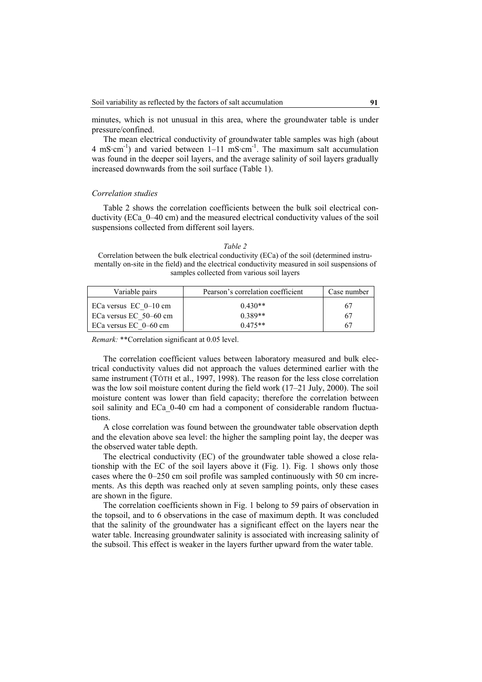minutes, which is not unusual in this area, where the groundwater table is under pressure/confined.

The mean electrical conductivity of groundwater table samples was high (about 4 mS·cm<sup>-1</sup>) and varied between  $1-11$  mS·cm<sup>-1</sup>. The maximum salt accumulation was found in the deeper soil layers, and the average salinity of soil layers gradually increased downwards from the soil surface (Table 1).

#### *Correlation studies*

Table 2 shows the correlation coefficients between the bulk soil electrical conductivity (ECa\_0–40 cm) and the measured electrical conductivity values of the soil suspensions collected from different soil layers.

| <i>Lable</i> |  |
|--------------|--|
|              |  |

Correlation between the bulk electrical conductivity (ECa) of the soil (determined instrumentally on-site in the field) and the electrical conductivity measured in soil suspensions of samples collected from various soil layers

| Variable pairs          | Pearson's correlation coefficient | Case number |
|-------------------------|-----------------------------------|-------------|
| ECa versus $EC$ 0-10 cm | $0.430**$                         | 67          |
| ECa versus EC 50–60 cm  | $0.389**$                         | 67          |
| ECa versus EC $0-60$ cm | $0.475**$                         | 67          |

*Remark:* \*\*Correlation significant at 0.05 level.

The correlation coefficient values between laboratory measured and bulk electrical conductivity values did not approach the values determined earlier with the same instrument (TÓTH et al., 1997, 1998). The reason for the less close correlation was the low soil moisture content during the field work (17–21 July, 2000). The soil moisture content was lower than field capacity; therefore the correlation between soil salinity and ECa\_0-40 cm had a component of considerable random fluctuations.

A close correlation was found between the groundwater table observation depth and the elevation above sea level: the higher the sampling point lay, the deeper was the observed water table depth.

The electrical conductivity (EC) of the groundwater table showed a close relationship with the EC of the soil layers above it (Fig. 1). Fig. 1 shows only those cases where the 0–250 cm soil profile was sampled continuously with 50 cm increments. As this depth was reached only at seven sampling points, only these cases are shown in the figure.

The correlation coefficients shown in Fig. 1 belong to 59 pairs of observation in the topsoil, and to 6 observations in the case of maximum depth. It was concluded that the salinity of the groundwater has a significant effect on the layers near the water table. Increasing groundwater salinity is associated with increasing salinity of the subsoil. This effect is weaker in the layers further upward from the water table.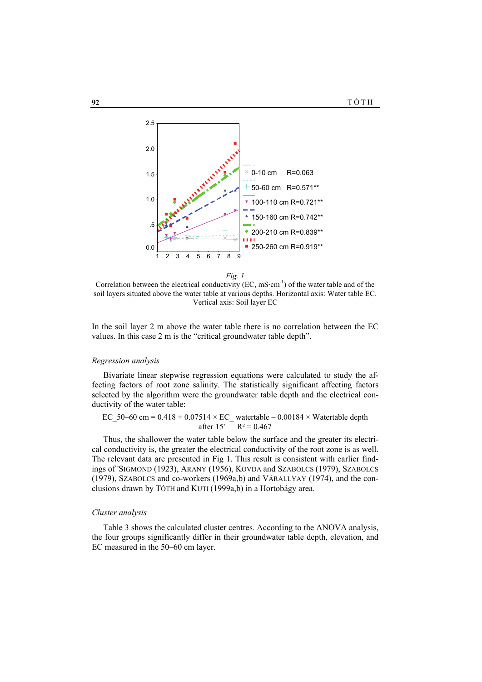

*Fig. 1* 

Correlation between the electrical conductivity (EC,  $mS·cm^{-1}$ ) of the water table and of the soil layers situated above the water table at various depths. Horizontal axis: Water table EC. Vertical axis: Soil layer EC

In the soil layer 2 m above the water table there is no correlation between the EC values. In this case 2 m is the "critical groundwater table depth".

## *Regression analysis*

Bivariate linear stepwise regression equations were calculated to study the affecting factors of root zone salinity. The statistically significant affecting factors selected by the algorithm were the groundwater table depth and the electrical conductivity of the water table:

EC 50–60 cm =  $0.418 + 0.07514 \times EC$  watertable – 0.00184 × Watertable depth after 15'  $R^2 = 0.467$ 

Thus, the shallower the water table below the surface and the greater its electrical conductivity is, the greater the electrical conductivity of the root zone is as well. The relevant data are presented in Fig 1. This result is consistent with earlier findings of 'SIGMOND (1923), ARANY (1956), KOVDA and SZABOLCS (1979), SZABOLCS (1979), SZABOLCS and co-workers (1969a,b) and VÁRALLYAY (1974), and the conclusions drawn by TÓTH and KUTI (1999a,b) in a Hortobágy area.

#### *Cluster analysis*

Table 3 shows the calculated cluster centres. According to the ANOVA analysis, the four groups significantly differ in their groundwater table depth, elevation, and EC measured in the 50–60 cm layer.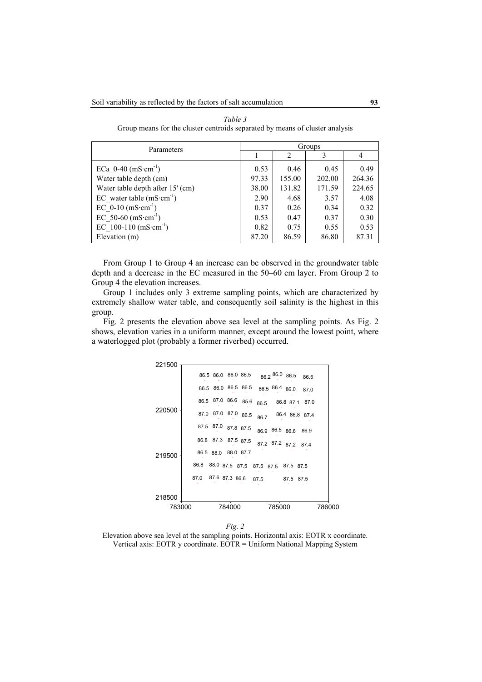| Parameters                                | Groups |                |        |        |  |  |
|-------------------------------------------|--------|----------------|--------|--------|--|--|
|                                           |        | $\mathfrak{D}$ | 3      |        |  |  |
| ECa $0-40$ (mS $\cdot$ cm <sup>-1</sup> ) | 0.53   | 0.46           | 0.45   | 0.49   |  |  |
| Water table depth (cm)                    | 97.33  | 155.00         | 202.00 | 264.36 |  |  |
| Water table depth after 15' (cm)          | 38.00  | 131.82         | 171.59 | 224.65 |  |  |
| EC water table $(mS·cm^{-1})$             | 2.90   | 4.68           | 3.57   | 4.08   |  |  |
| EC $0-10$ (mS $\cdot$ cm <sup>-1</sup> )  | 0.37   | 0.26           | 0.34   | 0.32   |  |  |
| EC 50-60 $(mS·cm^{-1})$                   | 0.53   | 0.47           | 0.37   | 0.30   |  |  |
| EC 100-110 $(mS \cdot cm^{-1})$           | 0.82   | 0.75           | 0.55   | 0.53   |  |  |
| Elevation (m)                             | 87.20  | 86.59          | 86.80  | 87.31  |  |  |

*Table 3*  Group means for the cluster centroids separated by means of cluster analysis

From Group 1 to Group 4 an increase can be observed in the groundwater table depth and a decrease in the EC measured in the 50–60 cm layer. From Group 2 to Group 4 the elevation increases.

Group 1 includes only 3 extreme sampling points, which are characterized by extremely shallow water table, and consequently soil salinity is the highest in this group.

Fig. 2 presents the elevation above sea level at the sampling points. As Fig. 2 shows, elevation varies in a uniform manner, except around the lowest point, where a waterlogged plot (probably a former riverbed) occurred.



*Fig. 2* 

Elevation above sea level at the sampling points. Horizontal axis: EOTR x coordinate. Vertical axis: EOTR y coordinate. EOTR = Uniform National Mapping System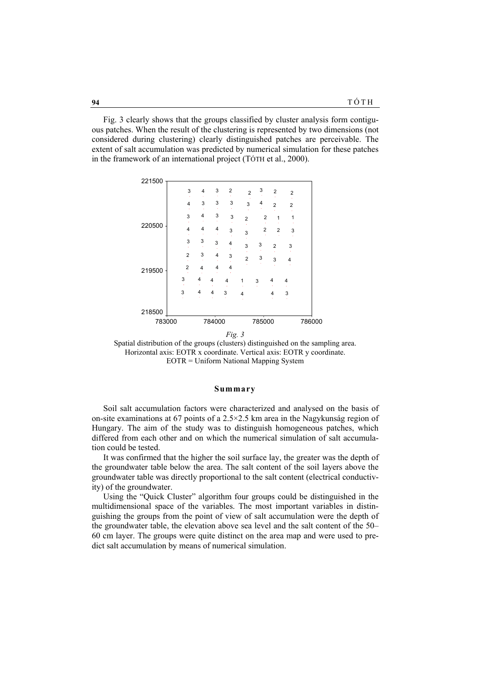Fig. 3 clearly shows that the groups classified by cluster analysis form contiguous patches. When the result of the clustering is represented by two dimensions (not considered during clustering) clearly distinguished patches are perceivable. The extent of salt accumulation was predicted by numerical simulation for these patches in the framework of an international project (TÓTH et al., 2000).



Spatial distribution of the groups (clusters) distinguished on the sampling area. Horizontal axis: EOTR x coordinate. Vertical axis: EOTR y coordinate. EOTR = Uniform National Mapping System

#### **Summary**

Soil salt accumulation factors were characterized and analysed on the basis of on-site examinations at 67 points of a 2.5×2.5 km area in the Nagykunság region of Hungary. The aim of the study was to distinguish homogeneous patches, which differed from each other and on which the numerical simulation of salt accumulation could be tested.

It was confirmed that the higher the soil surface lay, the greater was the depth of the groundwater table below the area. The salt content of the soil layers above the groundwater table was directly proportional to the salt content (electrical conductivity) of the groundwater.

Using the "Quick Cluster" algorithm four groups could be distinguished in the multidimensional space of the variables. The most important variables in distinguishing the groups from the point of view of salt accumulation were the depth of the groundwater table, the elevation above sea level and the salt content of the 50– 60 cm layer. The groups were quite distinct on the area map and were used to predict salt accumulation by means of numerical simulation.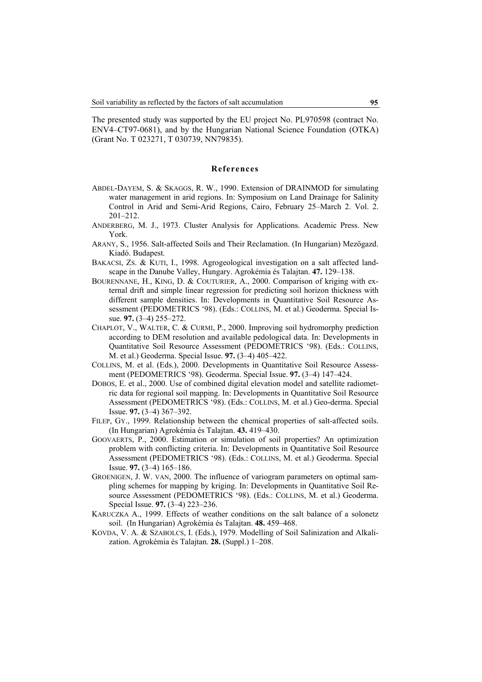The presented study was supported by the EU project No. PL970598 (contract No. ENV4–CT97-0681), and by the Hungarian National Science Foundation (OTKA) (Grant No. T 023271, T 030739, NN79835).

## **References**

- ABDEL-DAYEM, S. & SKAGGS, R. W., 1990. Extension of DRAINMOD for simulating water management in arid regions. In: Symposium on Land Drainage for Salinity Control in Arid and Semi-Arid Regions, Cairo, February 25–March 2. Vol. 2. 201–212.
- ANDERBERG, M. J., 1973. Cluster Analysis for Applications. Academic Press. New York.
- ARANY, S., 1956. Salt-affected Soils and Their Reclamation. (In Hungarian) Mezőgazd. Kiadó. Budapest.
- BAKACSI, ZS. & KUTI, I., 1998. Agrogeological investigation on a salt affected landscape in the Danube Valley, Hungary. Agrokémia és Talajtan. **47.** 129–138.
- BOURENNANE, H., KING, D. & COUTURIER, A., 2000. Comparison of kriging with external drift and simple linear regression for predicting soil horizon thickness with different sample densities. In: Developments in Quantitative Soil Resource Assessment (PEDOMETRICS '98). (Eds.: COLLINS, M. et al.) Geoderma. Special Issue. **97.** (3–4) 255–272.
- CHAPLOT, V., WALTER, C. & CURMI, P., 2000. Improving soil hydromorphy prediction according to DEM resolution and available pedological data. In: Developments in Quantitative Soil Resource Assessment (PEDOMETRICS '98). (Eds.: COLLINS, M. et al.) Geoderma. Special Issue. **97.** (3–4) 405–422.
- COLLINS, M. et al. (Eds.), 2000. Developments in Quantitative Soil Resource Assessment (PEDOMETRICS '98). Geoderma. Special Issue. **97.** (3–4) 147–424.
- DOBOS, E. et al., 2000. Use of combined digital elevation model and satellite radiometric data for regional soil mapping. In: Developments in Quantitative Soil Resource Assessment (PEDOMETRICS '98). (Eds.: COLLINS, M. et al.) Geo-derma. Special Issue. **97.** (3–4) 367–392.
- FILEP, GY., 1999. Relationship between the chemical properties of salt-affected soils. (In Hungarian) Agrokémia és Talajtan. **43.** 419–430.
- GOOVAERTS, P., 2000. Estimation or simulation of soil properties? An optimization problem with conflicting criteria. In: Developments in Quantitative Soil Resource Assessment (PEDOMETRICS '98). (Eds.: COLLINS, M. et al.) Geoderma. Special Issue. **97.** (3–4) 165–186.
- GROENIGEN, J. W. VAN, 2000. The influence of variogram parameters on optimal sampling schemes for mapping by kriging. In: Developments in Quantitative Soil Resource Assessment (PEDOMETRICS '98). (Eds.: COLLINS, M. et al.) Geoderma. Special Issue. **97.** (3–4) 223–236.
- KARUCZKA A., 1999. Effects of weather conditions on the salt balance of a solonetz soil. (In Hungarian) Agrokémia és Talajtan. **48.** 459–468.
- KOVDA, V. A. & SZABOLCS, I. (Eds.), 1979. Modelling of Soil Salinization and Alkalization. Agrokémia és Talajtan. **28.** (Suppl.) 1–208.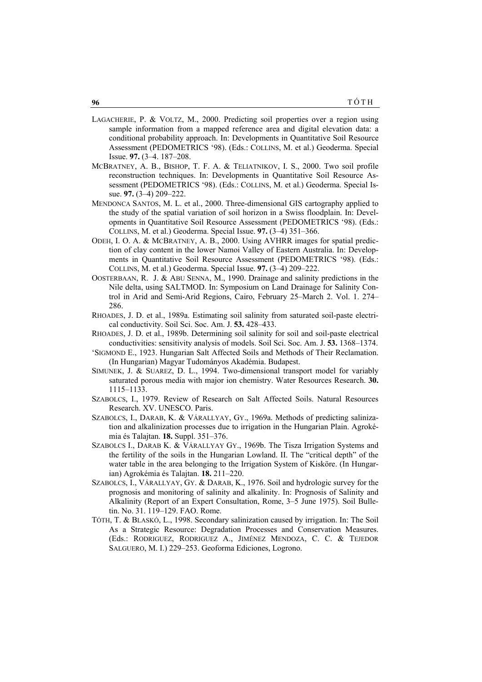- LAGACHERIE, P. & VOLTZ, M., 2000. Predicting soil properties over a region using sample information from a mapped reference area and digital elevation data: a conditional probability approach. In: Developments in Quantitative Soil Resource Assessment (PEDOMETRICS '98). (Eds.: COLLINS, M. et al.) Geoderma. Special Issue. **97.** (3–4. 187–208.
- MCBRATNEY, A. B., BISHOP, T. F. A. & TELIATNIKOV, I. S., 2000. Two soil profile reconstruction techniques. In: Developments in Quantitative Soil Resource Assessment (PEDOMETRICS '98). (Eds.: COLLINS, M. et al.) Geoderma. Special Issue. **97.** (3–4) 209–222.
- MENDONCA SANTOS, M. L. et al., 2000. Three-dimensional GIS cartography applied to the study of the spatial variation of soil horizon in a Swiss floodplain. In: Developments in Quantitative Soil Resource Assessment (PEDOMETRICS '98). (Eds.: COLLINS, M. et al.) Geoderma. Special Issue. **97.** (3–4) 351–366.
- ODEH, I. O. A. & MCBRATNEY, A. B., 2000. Using AVHRR images for spatial prediction of clay content in the lower Namoi Valley of Eastern Australia. In: Developments in Quantitative Soil Resource Assessment (PEDOMETRICS '98). (Eds.: COLLINS, M. et al.) Geoderma. Special Issue. **97.** (3–4) 209–222.
- OOSTERBAAN, R. J. & ABU SENNA, M., 1990. Drainage and salinity predictions in the Nile delta, using SALTMOD. In: Symposium on Land Drainage for Salinity Control in Arid and Semi-Arid Regions, Cairo, February 25–March 2. Vol. 1. 274– 286.
- RHOADES, J. D. et al., 1989a. Estimating soil salinity from saturated soil-paste electrical conductivity. Soil Sci. Soc. Am. J. **53.** 428–433.
- RHOADES, J. D. et al., 1989b. Determining soil salinity for soil and soil-paste electrical conductivities: sensitivity analysis of models. Soil Sci. Soc. Am. J. **53.** 1368–1374.
- 'SIGMOND E., 1923. Hungarian Salt Affected Soils and Methods of Their Reclamation. (In Hungarian) Magyar Tudományos Akadémia. Budapest.
- SIMUNEK, J. & SUAREZ, D. L., 1994. Two-dimensional transport model for variably saturated porous media with major ion chemistry. Water Resources Research. **30.** 1115–1133.
- SZABOLCS, I., 1979. Review of Research on Salt Affected Soils. Natural Resources Research. XV. UNESCO. Paris.
- SZABOLCS, I., DARAB, K. & VÁRALLYAY, GY., 1969a. Methods of predicting salinization and alkalinization processes due to irrigation in the Hungarian Plain. Agrokémia és Talajtan. **18.** Suppl. 351–376.
- SZABOLCS I., DARAB K. & VÁRALLYAY GY., 1969b. The Tisza Irrigation Systems and the fertility of the soils in the Hungarian Lowland. II. The "critical depth" of the water table in the area belonging to the Irrigation System of Kisköre. (In Hungarian) Agrokémia és Talajtan. **18.** 211–220.
- SZABOLCS, I., VÁRALLYAY, GY. & DARAB, K., 1976. Soil and hydrologic survey for the prognosis and monitoring of salinity and alkalinity. In: Prognosis of Salinity and Alkalinity (Report of an Expert Consultation, Rome, 3–5 June 1975). Soil Bulletin. No. 31. 119–129. FAO. Rome.
- TÓTH, T. & BLASKÓ, L., 1998. Secondary salinization caused by irrigation. In: The Soil As a Strategic Resource: Degradation Processes and Conservation Measures. (Eds.: RODRIGUEZ, RODRIGUEZ A., JIMÉNEZ MENDOZA, C. C. & TEJEDOR SALGUERO, M. I.) 229–253. Geoforma Ediciones, Logrono.